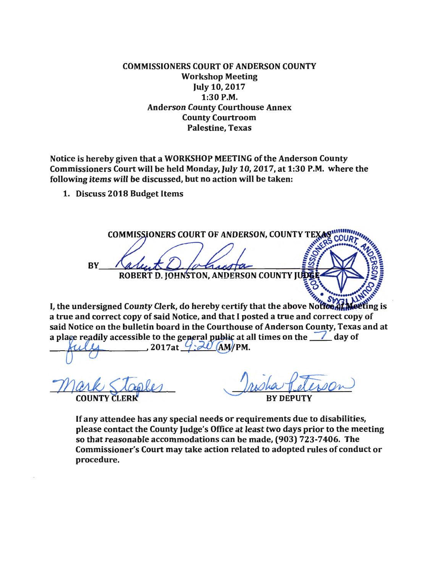COMMISSIONERS COURT OF ANDERSON COUNTY Workshop Meeting July 10, 2017 1:30 P.M. Anderson County Courthouse Annex County Courtroom Palestine, Texas

Notice is hereby given that a WORKSHOP MEETING of the Anderson County Commissioners Court will be held Monday, July 10, 2017, at 1:30 P.M. where the following items will be discussed, but no action will be taken:

1. Discuss 2018 Budget Items

**COMMISSIONERS COURT OF ANDERSON, COUNTY TEXAS COUPT BY ROBERT D. JOHNSTON, ANDERSON COUNTY JUDE** 

I, the undersigned County Clerk, do hereby certify that the above Notflood Mariting is a true and correct copy of said Notice, and that I posted a true and correct copy of said Notice on the bulletin board in the Courthouse of Anderson County, Texas and at a place readily accessible to the general public at all times on the  $\mathcal{L}$  day of 2017at  $9 - 20$  $(AM/IPM)$ .

0<br>Mark Staples

**RY DEPII** 

If any attendee has any special needs or requirements due to disabilities, please contact the County Judge's Office at least two days prior to the meeting so that reasonable accommodations can be made, (903) 723-7406. The Commissioner's Court may take action related to adopted rules of conduct or procedure.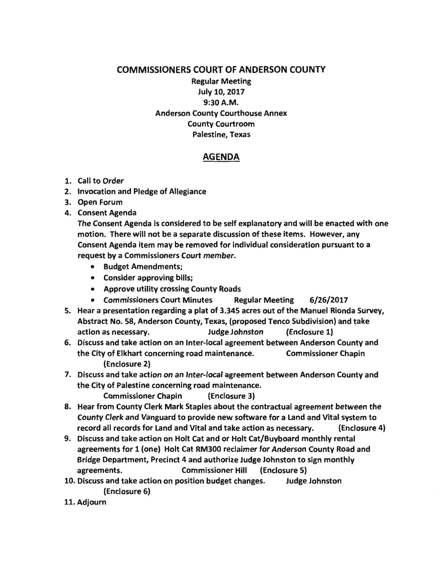## COMMISSIONERS COURT OF ANDERSON COUNTY

Regular Meeting July 10, 2017 9:30A.M. Anderson County Courthouse Annex County Courtroom Palestine, Texas

## AGENDA

- 1. Call to Order
- 2. Invocation and Pledge of Allegiance
- 3. Open Forum
- 4. Consent Agenda

The Consent Agenda is considered to be self explanatory and will be enacted with one motion. There will not be a separate discussion of these items. However, any Consent Agenda item may be removed for individual consideration pursuant to a request by a Commissioners Court member.

- Budget Amendments;
- Consider approving bills;
- Approve utility crossing County Roads
- Commissioners Court Minutes Regular Meeting 6/26/2017
- 5. Hear a presentation regarding a plat of 3.345 acres out of the Manuel Rionda Survey, Abstract No. 58, Anderson County, Texas, (proposed Tenco Subdivision) and take action as necessary. Judge Johnston (Enclosure 1)
- 6. Discuss and take action on an Inter-local agreement between Anderson County and the City of Elkhart concerning road maintenance. Commissioner Chapin (Enclosure 2}
- 7. Discuss and take action on an Inter-local agreement between Anderson County and the City of Palestine concerning road maintenance.
	- Commissioner Chapin (Enclosure 3}
- 8. Hear from County Clerk Mark Staples about the contractual agreement between the County Clerk and Vanguard to provide new software for a Land and Vital system to record all records for Land and Vital and take action as necessary. (Enclosure 4}
- 9. Discuss and take action on Holt Cat and or Holt Cat/Buyboard monthly rental agreements for 1 (one) Holt Cat RM300 reclaimer for Anderson County Road and Bridge Department, Precinct 4 and authorize Judge Johnston to sign monthly agreements. Commissioner Hill (Enclosure 5)
- 10. Discuss and take action on position budget changes. Judge Johnston (Enclosure 6)
- 11. Adjourn